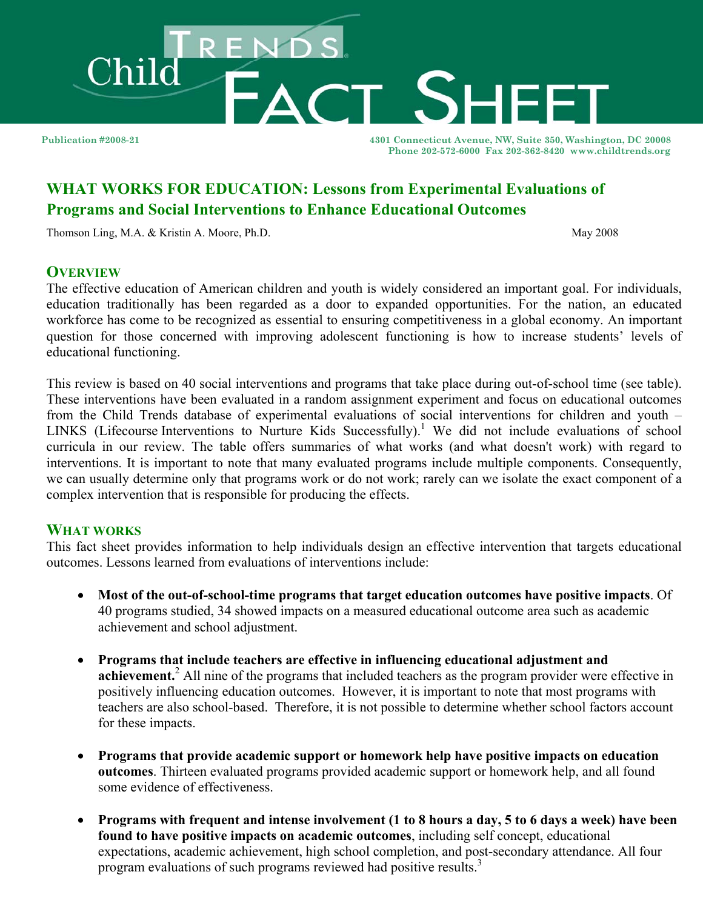

**Publication #2008-21 4301 Connecticut Avenue, NW, Suite 350, Washington, DC 20008 Phone 202-572-6000 Fax 202-362-8420 www.childtrends.org** 

# **WHAT WORKS FOR EDUCATION: Lessons from Experimental Evaluations of Programs and Social Interventions to Enhance Educational Outcomes**

Thomson Ling, M.A. & Kristin A. Moore, Ph.D. May 2008

## **OVERVIEW**

The effective education of American children and youth is widely considered an important goal. For individuals, education traditionally has been regarded as a door to expanded opportunities. For the nation, an educated workforce has come to be recognized as essential to ensuring competitiveness in a global economy. An important question for those concerned with improving adolescent functioning is how to increase students' levels of educational functioning.

This review is based on 40 social interventions and programs that take place during out-of-school time (see table). These interventions have been evaluated in a random assignment experiment and focus on educational outcomes from the Child Trends database of experimental evaluations of social interventions for children and youth – LINKS (Lifecourse Interventions to Nurture Kids Successfully).<sup>1</sup> We did not include evaluations of school curricula in our review. The table offers summaries of what works (and what doesn't work) with regard to interventions. It is important to note that many evaluated programs include multiple components. Consequently, we can usually determine only that programs work or do not work; rarely can we isolate the exact component of a complex intervention that is responsible for producing the effects.

#### **WHAT WORKS**

This fact sheet provides information to help individuals design an effective intervention that targets educational outcomes. Lessons learned from evaluations of interventions include:

- **Most of the out-of-school-time programs that target education outcomes have positive impacts**. Of 40 programs studied, 34 showed impacts on a measured educational outcome area such as academic achievement and school adjustment.
- **Programs that include teachers are effective in influencing educational adjustment and**  achievement.<sup>2</sup> All nine of the programs that included teachers as the program provider were effective in positively influencing education outcomes. However, it is important to note that most programs with teachers are also school-based. Therefore, it is not possible to determine whether school factors account for these impacts.
- **Programs that provide academic support or homework help have positive impacts on education outcomes**. Thirteen evaluated programs provided academic support or homework help, and all found some evidence of effectiveness.
- **Programs with frequent and intense involvement (1 to 8 hours a day, 5 to 6 days a week) have been found to have positive impacts on academic outcomes**, including self concept, educational expectations, academic achievement, high school completion, and post-secondary attendance. All four program evaluations of such programs reviewed had positive results.<sup>3</sup>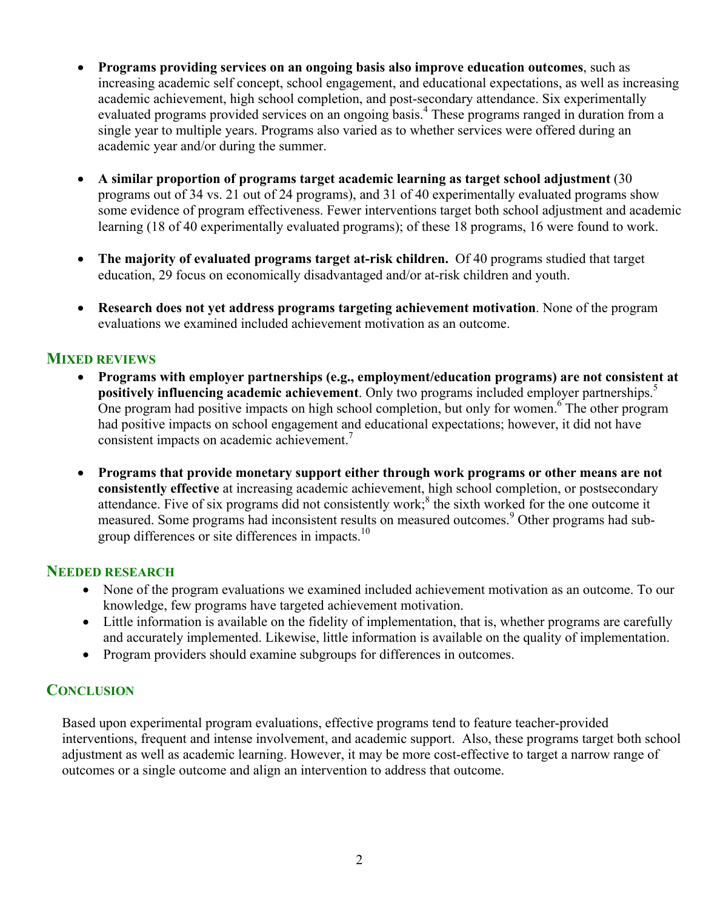- **Programs providing services on an ongoing basis also improve education outcomes**, such as increasing academic self concept, school engagement, and educational expectations, as well as increasing academic achievement, high school completion, and post-secondary attendance. Six experimentally evaluated programs provided services on an ongoing basis.<sup>4</sup> These programs ranged in duration from a single year to multiple years. Programs also varied as to whether services were offered during an academic year and/or during the summer.
- **A similar proportion of programs target academic learning as target school adjustment** (30 programs out of 34 vs. 21 out of 24 programs), and 31 of 40 experimentally evaluated programs show some evidence of program effectiveness. Fewer interventions target both school adjustment and academic learning (18 of 40 experimentally evaluated programs); of these 18 programs, 16 were found to work.
- **The majority of evaluated programs target at-risk children.** Of 40 programs studied that target education, 29 focus on economically disadvantaged and/or at-risk children and youth.
- **Research does not yet address programs targeting achievement motivation**. None of the program evaluations we examined included achievement motivation as an outcome.

#### **MIXED REVIEWS**

- **Programs with employer partnerships (e.g., employment/education programs) are not consistent at positively influencing academic achievement**. Only two programs included employer partnerships.<sup>5</sup> One program had positive impacts on high school completion, but only for women.<sup>6</sup> The other program had positive impacts on school engagement and educational expectations; however, it did not have consistent impacts on academic achievement.<sup>7</sup>
- **Programs that provide monetary support either through work programs or other means are not consistently effective** at increasing academic achievement, high school completion, or postsecondary attendance. Five of six programs did not consistently work;<sup>8</sup> the sixth worked for the one outcome it measured. Some programs had inconsistent results on measured outcomes.<sup>9</sup> Other programs had subgroup differences or site differences in impacts.<sup>10</sup>

#### **NEEDED RESEARCH**

- None of the program evaluations we examined included achievement motivation as an outcome. To our knowledge, few programs have targeted achievement motivation.
- Little information is available on the fidelity of implementation, that is, whether programs are carefully and accurately implemented. Likewise, little information is available on the quality of implementation.
- Program providers should examine subgroups for differences in outcomes.

#### **CONCLUSION**

Based upon experimental program evaluations, effective programs tend to feature teacher-provided interventions, frequent and intense involvement, and academic support. Also, these programs target both school adjustment as well as academic learning. However, it may be more cost-effective to target a narrow range of outcomes or a single outcome and align an intervention to address that outcome.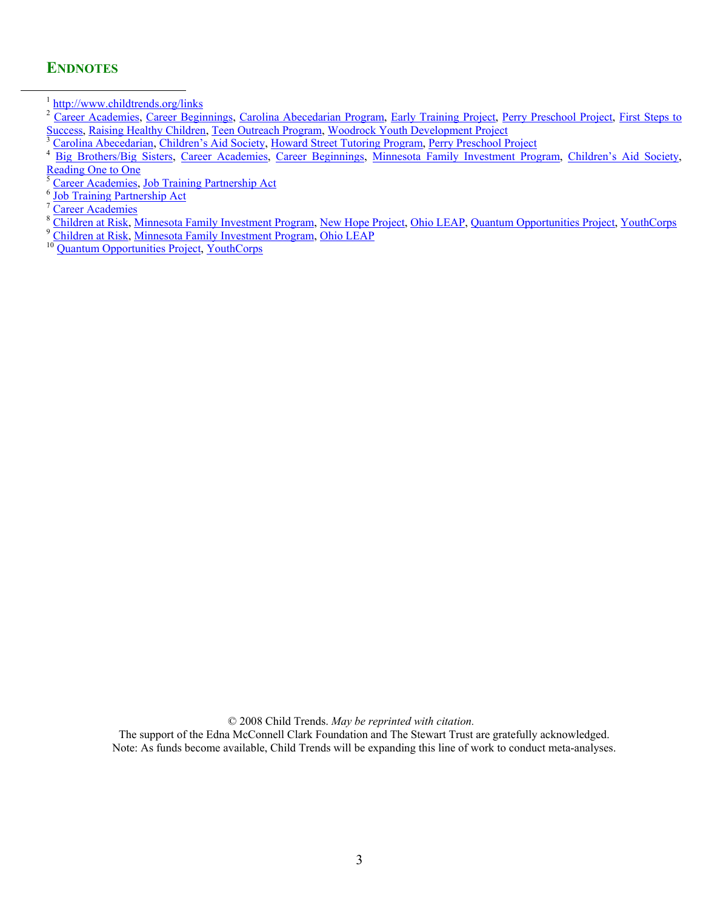### **ENDNOTES**

© 2008 Child Trends. *May be reprinted with citation.*

The support of the Edna McConnell Clark Foundation and The Stewart Trust are gratefully acknowledged. Note: As funds become available, Child Trends will be expanding this line of work to conduct meta-analyses.

<sup>&</sup>lt;sup>1</sup> http://www.childtrends.org/links<br><sup>2</sup> [Career Academies,](http://www.childtrends.org/Lifecourse/programs/CareerAcademies.htm) [Career Beginnings,](http://www.childtrends.org/Lifecourse/programs/CareerBeginnings.htm) [Carolina Abecedarian Program,](http://www.childtrends.org/Lifecourse/programs/CarolinaAbecedarianProgram.htm) [Early Training Project,](http://www.childtrends.org/Lifecourse/programs/earlytr.htm) [Perry Preschool Project](http://www.childtrends.org/Lifecourse/programs/HighScope-PerryPreschoolProgram.htm), First Steps to [Success,](http://www.childtrends.org/Lifecourse/programs/FirstSteptoSuccess.htm) [Raising Healthy Children,](http://www.childtrends.org/Lifecourse/programs/RaisingHealthyChildren.htm) [Teen Outreach Program,](http://www.childtrends.org/Lifecourse/programs/TeenOutreachProgram.htm) [Woodrock Youth Development Project](http://www.childtrends.org/Lifecourse/programs/WoodrockYouthDevelopment.htm), Feny Presention Project, First Steps to<br>
<sup>3</sup> [Carolina Abecedarian,](http://www.childtrends.org/Lifecourse/programs/CarolinaAbecedarianProgram.htm) [Children's Aid Society,](http://www.childtrends.org/Lifecourse/programs/CAS-Carrera.htm) [Howard Street Tutoring Program,](http://www.childtrends.org/Lifecourse/programs/HowardStreetTutoringProgram.htm) Perry

[Reading One to One](http://www.childtrends.org/Lifecourse/programs/ReadingOnetoOne.htm)

<sup>&</sup>lt;sup>5</sup> [Career Academies,](http://www.childtrends.org/Lifecourse/programs/CareerAcademies.htm) [Job Training Partnership Act](http://www.childtrends.org/Lifecourse/programs/JobTrainingPartnershipAct.htm)  $\frac{6}{10}$  Job Training Partnership Act  $\frac{7}{10}$ 

 $\frac{7}{8}$ [Career Academies](http://www.childtrends.org/Lifecourse/programs/CareerAcademies.htm)

<sup>&</sup>lt;sup>8</sup> [Children at Risk,](http://www.childtrends.org/Lifecourse/programs/ChildrenAtRisk.htm) [Minnesota Family Investment Program,](http://www.childtrends.org/Lifecourse/programs/MinnesotaFamilyInvestmentProgram.htm) [New Hope Project,](http://www.childtrends.org/Lifecourse/programs/NewHopeProject.htm) [Ohio LEAP,](http://www.childtrends.org/Lifecourse/programs/OhioLEAP.htm) [Quantum Opportunities Project,](http://www.childtrends.org/Lifecourse/programs/QuantumOpportunitiesProgram.htm) [YouthCorps](http://www.childtrends.org/Lifecourse/programs/YouthCorps.htm)<br><sup>9</sup> Children at Risk, Minnesota Family Investment Program, [Ohio LEAP](http://www.childtrends.org/Lifecourse/programs/OhioLEAP.htm)<br><sup>10</sup> Quantum Opportunit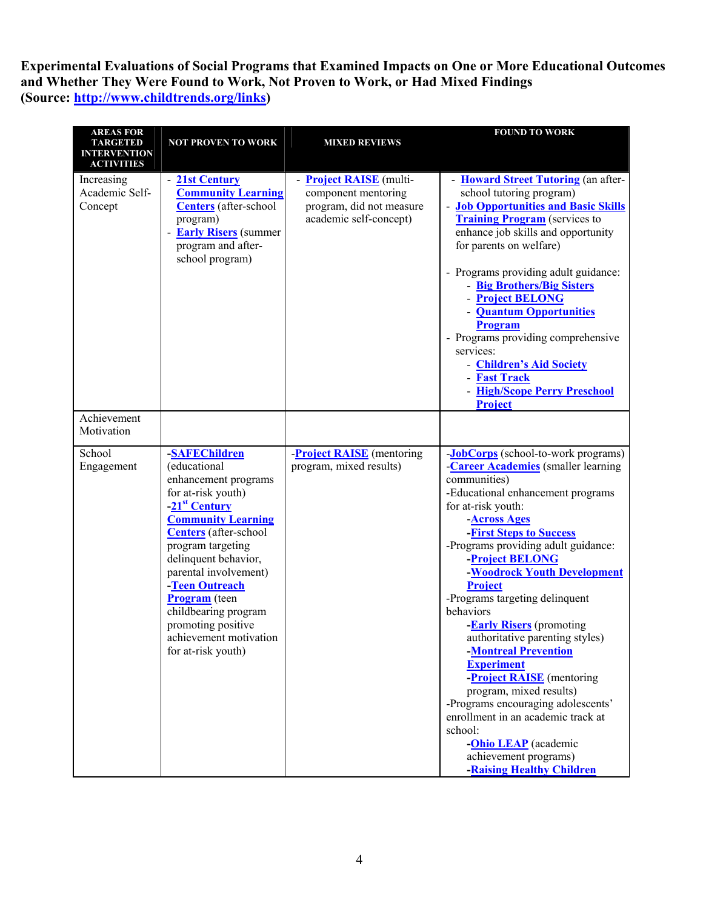**Experimental Evaluations of Social Programs that Examined Impacts on One or More Educational Outcomes and Whether They Were Found to Work, Not Proven to Work, or Had Mixed Findings (Source: http://www.childtrends.org/links)** 

| <b>AREAS FOR</b><br><b>TARGETED</b><br><b>INTERVENTION</b><br><b>ACTIVITIES</b> | <b>NOT PROVEN TO WORK</b>                                                                                                                                                                                                                                                                                                                                                    | <b>MIXED REVIEWS</b>                                                                                        | <b>FOUND TO WORK</b>                                                                                                                                                                                                                                                                                                                                                                                                                                                                                                                                                                                                                                                                                                                |
|---------------------------------------------------------------------------------|------------------------------------------------------------------------------------------------------------------------------------------------------------------------------------------------------------------------------------------------------------------------------------------------------------------------------------------------------------------------------|-------------------------------------------------------------------------------------------------------------|-------------------------------------------------------------------------------------------------------------------------------------------------------------------------------------------------------------------------------------------------------------------------------------------------------------------------------------------------------------------------------------------------------------------------------------------------------------------------------------------------------------------------------------------------------------------------------------------------------------------------------------------------------------------------------------------------------------------------------------|
| Increasing<br>Academic Self-<br>Concept                                         | - 21st Century<br><b>Community Learning</b><br><b>Centers</b> (after-school<br>program)<br><b>Early Risers</b> (summer<br>program and after-<br>school program)                                                                                                                                                                                                              | - <b>Project RAISE</b> (multi-<br>component mentoring<br>program, did not measure<br>academic self-concept) | - Howard Street Tutoring (an after-<br>school tutoring program)<br>- Job Opportunities and Basic Skills<br><b>Training Program</b> (services to<br>enhance job skills and opportunity<br>for parents on welfare)<br>- Programs providing adult guidance:<br>- Big Brothers/Big Sisters<br><b>Project BELONG</b><br>- <b>Quantum Opportunities</b><br>Program<br>- Programs providing comprehensive<br>services:<br>- Children's Aid Society<br>- Fast Track<br>- High/Scope Perry Preschool<br>Project                                                                                                                                                                                                                              |
| Achievement<br>Motivation                                                       |                                                                                                                                                                                                                                                                                                                                                                              |                                                                                                             |                                                                                                                                                                                                                                                                                                                                                                                                                                                                                                                                                                                                                                                                                                                                     |
| School<br>Engagement                                                            | -SAFEChildren<br>(educational<br>enhancement programs<br>for at-risk youth)<br>-21 <sup>st</sup> Century<br><b>Community Learning</b><br>Centers (after-school<br>program targeting<br>delinquent behavior,<br>parental involvement)<br>-Teen Outreach<br><b>Program</b> (teen<br>childbearing program<br>promoting positive<br>achievement motivation<br>for at-risk youth) | <b>Project RAISE</b> (mentoring<br>program, mixed results)                                                  | -JobCorps (school-to-work programs)<br><b>Career Academies</b> (smaller learning<br>communities)<br>-Educational enhancement programs<br>for at-risk youth:<br><b>Across Ages</b><br>-First Steps to Success<br>-Programs providing adult guidance:<br><b>Project BELONG</b><br>-Woodrock Youth Development<br><b>Project</b><br>-Programs targeting delinquent<br>behaviors<br><b>Early Risers</b> (promoting<br>authoritative parenting styles)<br>-Montreal Prevention<br><b>Experiment</b><br>-Project RAISE (mentoring<br>program, mixed results)<br>-Programs encouraging adolescents'<br>enrollment in an academic track at<br>school:<br>- <b>Ohio LEAP</b> (academic<br>achievement programs)<br>-Raising Healthy Children |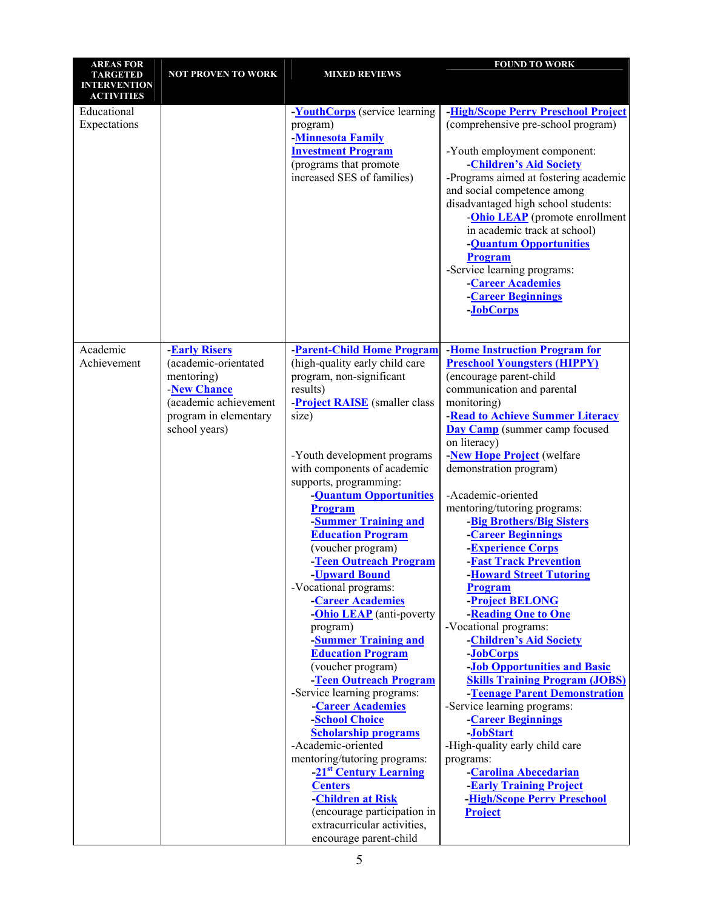| <b>AREAS FOR</b>    |                           |                                                             | <b>FOUND TO WORK</b>                                 |
|---------------------|---------------------------|-------------------------------------------------------------|------------------------------------------------------|
| <b>TARGETED</b>     | <b>NOT PROVEN TO WORK</b> | <b>MIXED REVIEWS</b>                                        |                                                      |
| <b>INTERVENTION</b> |                           |                                                             |                                                      |
| <b>ACTIVITIES</b>   |                           |                                                             |                                                      |
| Educational         |                           | <b>YouthCorps</b> (service learning                         | <b>-High/Scope Perry Preschool Project</b>           |
| Expectations        |                           | program)                                                    | (comprehensive pre-school program)                   |
|                     |                           | <b>Minnesota Family</b>                                     |                                                      |
|                     |                           | <b>Investment Program</b>                                   | -Youth employment component:                         |
|                     |                           | (programs that promote                                      | -Children's Aid Society                              |
|                     |                           | increased SES of families)                                  | -Programs aimed at fostering academic                |
|                     |                           |                                                             | and social competence among                          |
|                     |                           |                                                             | disadvantaged high school students:                  |
|                     |                           |                                                             | - <b>Ohio LEAP</b> (promote enrollment               |
|                     |                           |                                                             | in academic track at school)                         |
|                     |                           |                                                             | -Quantum Opportunities                               |
|                     |                           |                                                             | Program                                              |
|                     |                           |                                                             | -Service learning programs:                          |
|                     |                           |                                                             | <b>Career Academies</b>                              |
|                     |                           |                                                             | <b>Career Beginnings</b>                             |
|                     |                           |                                                             | -JobCorps                                            |
|                     |                           |                                                             |                                                      |
|                     |                           |                                                             |                                                      |
| Academic            | <b>Early Risers</b>       | <b>Parent-Child Home Program</b>                            | <b>Home Instruction Program for</b>                  |
| Achievement         | (academic-orientated      | (high-quality early child care                              | <b>Preschool Youngsters (HIPPY)</b>                  |
|                     | mentoring)                | program, non-significant                                    | (encourage parent-child                              |
|                     | <b>New Chance</b>         | results)                                                    | communication and parental                           |
|                     | (academic achievement     | -Project RAISE (smaller class                               | monitoring)                                          |
|                     | program in elementary     | size)                                                       | <b>Read to Achieve Summer Literacy</b>               |
|                     | school years)             |                                                             | <b>Day Camp</b> (summer camp focused<br>on literacy) |
|                     |                           | -Youth development programs                                 | -New Hope Project (welfare                           |
|                     |                           | with components of academic                                 | demonstration program)                               |
|                     |                           | supports, programming:                                      |                                                      |
|                     |                           | -Quantum Opportunities                                      | -Academic-oriented                                   |
|                     |                           | Program                                                     | mentoring/tutoring programs:                         |
|                     |                           | <b>Summer Training and</b>                                  | -Big Brothers/Big Sisters                            |
|                     |                           | <b>Education Program</b>                                    | <b>Career Beginnings</b>                             |
|                     |                           | (voucher program)                                           | <b>Experience Corps</b>                              |
|                     |                           | -Teen Outreach Program                                      | <b>-Fast Track Prevention</b>                        |
|                     |                           | -Upward Bound                                               | <b>-Howard Street Tutoring</b>                       |
|                     |                           | -Vocational programs:                                       | <b>Program</b>                                       |
|                     |                           | <b>Career Academies</b><br>- <b>Ohio LEAP</b> (anti-poverty | <b>Project BELONG</b><br>-Reading One to One         |
|                     |                           | program)                                                    | -Vocational programs:                                |
|                     |                           | -Summer Training and                                        | -Children's Aid Society                              |
|                     |                           | <b>Education Program</b>                                    | -JobCorps                                            |
|                     |                           | (voucher program)                                           | <b>-Job Opportunities and Basic</b>                  |
|                     |                           | -Teen Outreach Program                                      | <b>Skills Training Program (JOBS)</b>                |
|                     |                           | -Service learning programs:                                 | -Teenage Parent Demonstration                        |
|                     |                           | <b>Career Academies</b>                                     | -Service learning programs:                          |
|                     |                           | -School Choice                                              | -Career Beginnings                                   |
|                     |                           | <b>Scholarship programs</b>                                 | -JobStart                                            |
|                     |                           | -Academic-oriented                                          | -High-quality early child care                       |
|                     |                           | mentoring/tutoring programs:                                | programs:                                            |
|                     |                           | -21 <sup>st</sup> Century Learning                          | -Carolina Abecedarian                                |
|                     |                           | <b>Centers</b>                                              | <b>-Early Training Project</b>                       |
|                     |                           | <b>Children at Risk</b>                                     | <b>-High/Scope Perry Preschool</b>                   |
|                     |                           | (encourage participation in                                 | Project                                              |
|                     |                           | extracurricular activities,                                 |                                                      |
|                     |                           | encourage parent-child                                      |                                                      |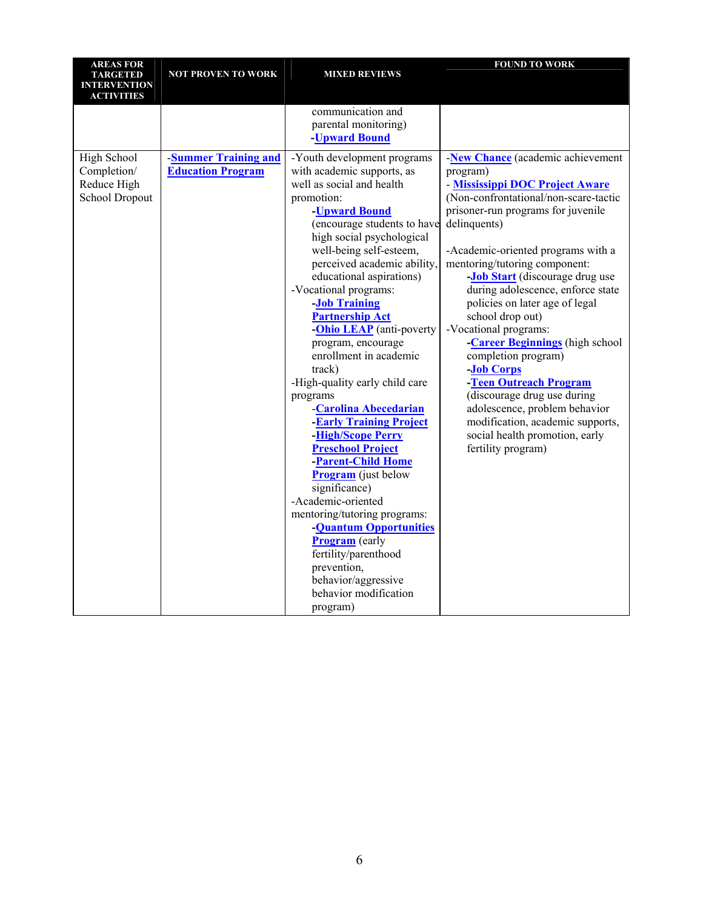| <b>AREAS FOR</b>      |                            |                                                                                                                                                                                                                                                                                                       | <b>FOUND TO WORK</b>                                                     |
|-----------------------|----------------------------|-------------------------------------------------------------------------------------------------------------------------------------------------------------------------------------------------------------------------------------------------------------------------------------------------------|--------------------------------------------------------------------------|
| <b>TARGETED</b>       | <b>NOT PROVEN TO WORK</b>  | <b>MIXED REVIEWS</b>                                                                                                                                                                                                                                                                                  |                                                                          |
| <b>INTERVENTION</b>   |                            |                                                                                                                                                                                                                                                                                                       |                                                                          |
| <b>ACTIVITIES</b>     |                            |                                                                                                                                                                                                                                                                                                       |                                                                          |
|                       |                            | communication and                                                                                                                                                                                                                                                                                     |                                                                          |
|                       |                            | parental monitoring)                                                                                                                                                                                                                                                                                  |                                                                          |
|                       |                            | -Upward Bound                                                                                                                                                                                                                                                                                         |                                                                          |
| High School           | <b>Summer Training and</b> | -Youth development programs                                                                                                                                                                                                                                                                           | New Chance (academic achievement                                         |
| Completion/           | <b>Education Program</b>   | with academic supports, as                                                                                                                                                                                                                                                                            | program)                                                                 |
| Reduce High           |                            | well as social and health                                                                                                                                                                                                                                                                             |                                                                          |
| <b>School Dropout</b> |                            | promotion:                                                                                                                                                                                                                                                                                            | - Mississippi DOC Project Aware<br>(Non-confrontational/non-scare-tactic |
|                       |                            |                                                                                                                                                                                                                                                                                                       |                                                                          |
|                       |                            | -Upward Bound                                                                                                                                                                                                                                                                                         | prisoner-run programs for juvenile                                       |
|                       |                            | (encourage students to have                                                                                                                                                                                                                                                                           | delinquents)                                                             |
|                       |                            | high social psychological                                                                                                                                                                                                                                                                             |                                                                          |
|                       |                            | well-being self-esteem,                                                                                                                                                                                                                                                                               | -Academic-oriented programs with a                                       |
|                       |                            | perceived academic ability,                                                                                                                                                                                                                                                                           | mentoring/tutoring component:                                            |
|                       |                            | educational aspirations)                                                                                                                                                                                                                                                                              | - <b>Job Start</b> (discourage drug use                                  |
|                       |                            | -Vocational programs:                                                                                                                                                                                                                                                                                 | during adolescence, enforce state                                        |
|                       |                            | <b>Job Training</b>                                                                                                                                                                                                                                                                                   | policies on later age of legal                                           |
|                       |                            | <b>Partnership Act</b>                                                                                                                                                                                                                                                                                | school drop out)                                                         |
|                       |                            | - <b>Ohio LEAP</b> (anti-poverty                                                                                                                                                                                                                                                                      | -Vocational programs:                                                    |
|                       |                            | program, encourage                                                                                                                                                                                                                                                                                    | -Career Beginnings (high school                                          |
|                       |                            | enrollment in academic                                                                                                                                                                                                                                                                                | completion program)                                                      |
|                       |                            | track)                                                                                                                                                                                                                                                                                                | -Job Corps                                                               |
|                       |                            | -High-quality early child care                                                                                                                                                                                                                                                                        | -Teen Outreach Program                                                   |
|                       |                            | programs                                                                                                                                                                                                                                                                                              | (discourage drug use during                                              |
|                       |                            | <b>Carolina Abecedarian</b>                                                                                                                                                                                                                                                                           | adolescence, problem behavior                                            |
|                       |                            |                                                                                                                                                                                                                                                                                                       | modification, academic supports,                                         |
|                       |                            |                                                                                                                                                                                                                                                                                                       |                                                                          |
|                       |                            | <b>Preschool Project</b>                                                                                                                                                                                                                                                                              | fertility program)                                                       |
|                       |                            | <b>-Parent-Child Home</b>                                                                                                                                                                                                                                                                             |                                                                          |
|                       |                            |                                                                                                                                                                                                                                                                                                       |                                                                          |
|                       |                            |                                                                                                                                                                                                                                                                                                       |                                                                          |
|                       |                            | -Academic-oriented                                                                                                                                                                                                                                                                                    |                                                                          |
|                       |                            |                                                                                                                                                                                                                                                                                                       |                                                                          |
|                       |                            |                                                                                                                                                                                                                                                                                                       |                                                                          |
|                       |                            |                                                                                                                                                                                                                                                                                                       |                                                                          |
|                       |                            |                                                                                                                                                                                                                                                                                                       |                                                                          |
|                       |                            |                                                                                                                                                                                                                                                                                                       |                                                                          |
|                       |                            |                                                                                                                                                                                                                                                                                                       |                                                                          |
|                       |                            |                                                                                                                                                                                                                                                                                                       |                                                                          |
|                       |                            |                                                                                                                                                                                                                                                                                                       |                                                                          |
|                       |                            | <b>Early Training Project</b><br><b>High/Scope Perry</b><br><b>Program</b> (just below<br>significance)<br>mentoring/tutoring programs:<br>- <b>Quantum Opportunities</b><br><b>Program</b> (early<br>fertility/parenthood<br>prevention,<br>behavior/aggressive<br>behavior modification<br>program) | social health promotion, early                                           |